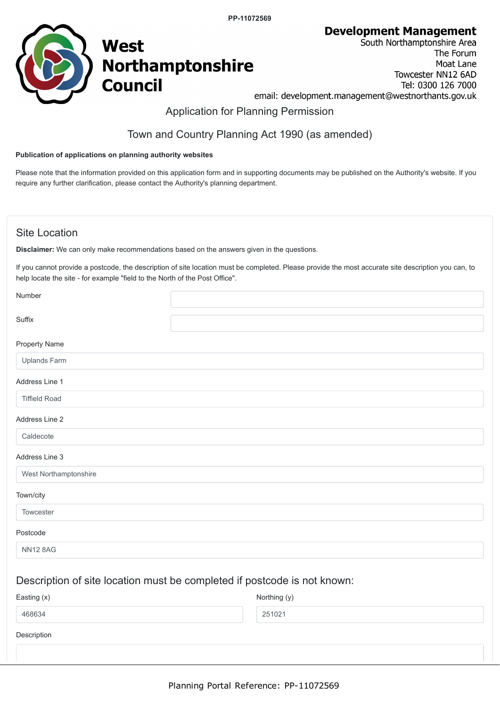**PP-11072569**

**Development Management** 



South Northamptonshire Area The Forum Moat Lane Towcester NN12 6AD Tel: 0300 126 7000 email: development.management@westnorthants.gov.uk

## Application for Planning Permission

# Town and Country Planning Act 1990 (as amended)

#### **Publication of applications on planning authority websites**

Please note that the information provided on this application form and in supporting documents may be published on the Authority's website. If you require any further clarification, please contact the Authority's planning department.

### Site Location

**Disclaimer:** We can only make recommendations based on the answers given in the questions.

If you cannot provide a postcode, the description of site location must be completed. Please provide the most accurate site description you can, to help locate the site - for example "field to the North of the Post Office".

| Number                |                                                                                                                |
|-----------------------|----------------------------------------------------------------------------------------------------------------|
| Suffix                |                                                                                                                |
| Property Name         |                                                                                                                |
| Uplands Farm          |                                                                                                                |
| Address Line 1        |                                                                                                                |
| <b>Tiffield Road</b>  |                                                                                                                |
| Address Line 2        |                                                                                                                |
| Caldecote             |                                                                                                                |
| Address Line 3        |                                                                                                                |
| West Northamptonshire |                                                                                                                |
| Town/city             |                                                                                                                |
| Towcester             |                                                                                                                |
| Postcode              |                                                                                                                |
| <b>NN12 8AG</b>       |                                                                                                                |
|                       | render and a series of the series of the series of the series of the series of the series of the series of the |

### Description of site location must be completed if postcode is not known:

| Easting (x) | Northing (y) |
|-------------|--------------|
| 468634      | 251021       |
| Description |              |
|             |              |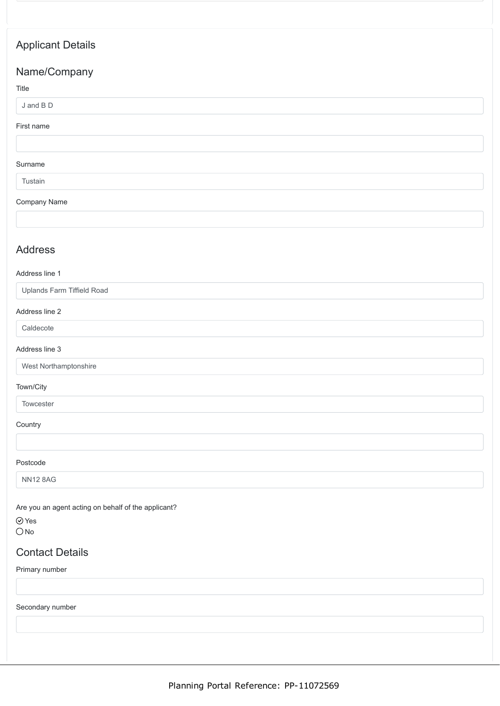# Applicant Details

## Name/Company

#### Title

#### J and B D

#### First name

#### Surname

#### Tustain

#### Company Name

### Address

#### Address line 1

Uplands Farm Tiffield Road

#### Address line 2

Caldecote

#### Address line 3

West Northamptonshire

#### Town/City

Towcester

#### **Country**

#### Postcode

NN12 8AG

Are you an agent acting on behalf of the applicant?

#### Yes  $ONo$

## Contact Details

Primary number

Secondary number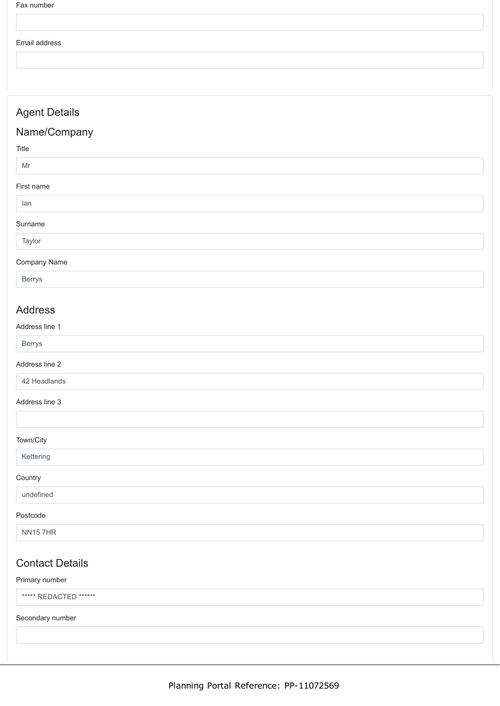Fax number

#### Email address

Agent Details

## Name/Company

Title

#### Mr

First name

### Ian

Surname

## Taylor

### Company Name

Berrys

### Address

#### Address line 1

| $\sim$<br>- |  |
|-------------|--|
|             |  |

#### Address line 2

42 Headlands

#### Address line 3

#### Town/City

Kettering

#### **Country**

#### undefined

#### Postcode

NN15 7HR

# Contact Details

#### Primary number

\*\*\*\*\* REDACTED \*\*\*\*\*\*

#### Secondary number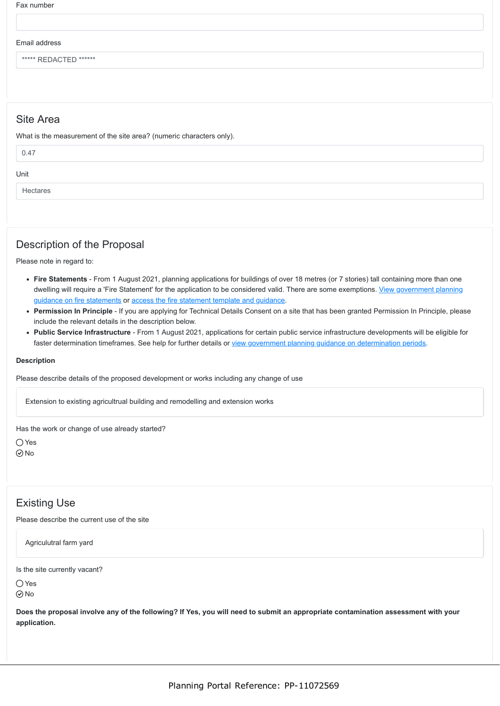Fax number

#### Email address

\*\*\*\*\* REDACTED \*\*\*\*\*\*

### Site Area

What is the measurement of the site area? (numeric characters only).

| 0.47     |  |
|----------|--|
| Unit     |  |
| Hectares |  |

### Description of the Proposal

Please note in regard to:

- **Fire Statements** From 1 August 2021, planning applications for buildings of over 18 metres (or 7 stories) tall containing more than one [dwelling will require a 'Fire Statement' for the application to be considered valid. There are some exemptions. View government planning](https://www.gov.uk/guidance/fire-safety-and-high-rise-residential-buildings-from-1-august-2021) guidance on fire statements or [access the fire statement template and guidance](https://www.gov.uk/government/publications/planning-application-forms-templates-for-local-planning-authorities#attachment_5328788).
- **Permission In Principle** If you are applying for Technical Details Consent on a site that has been granted Permission In Principle, please include the relevant details in the description below.
- **Public Service Infrastructure** From 1 August 2021, applications for certain public service infrastructure developments will be eligible for faster determination timeframes. See help for further details or [view government planning guidance on determination periods](https://www.gov.uk/guidance/determining-a-planning-application#what-are-the-time-periods-for-determining-a-planning-application).

#### **Description**

Please describe details of the proposed development or works including any change of use

Extension to existing agricultrual building and remodelling and extension works

Has the work or change of use already started?

○ Yes No

# Existing Use

Please describe the current use of the site

Agriculutral farm yard

Is the site currently vacant?

 $\bigcap$  Yes  $\odot$ No

**Does the proposal involve any of the following? If Yes, you will need to submit an appropriate contamination assessment with your application.**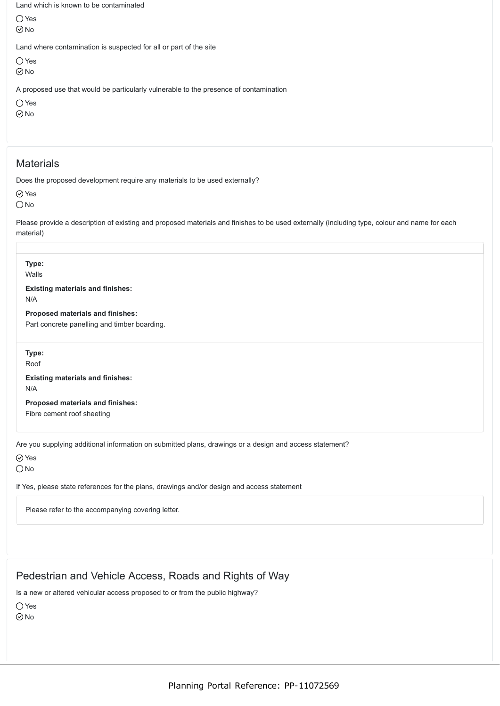Land which is known to be contaminated

Yes No

Land where contamination is suspected for all or part of the site

 $\bigcirc$  Yes

No

A proposed use that would be particularly vulnerable to the presence of contamination

O Yes

 $\odot$ No

### **Materials**

Does the proposed development require any materials to be used externally?

Yes

 $\bigcirc$  No

Please provide a description of existing and proposed materials and finishes to be used externally (including type, colour and name for each material)

| Type:<br>Walls                                                                                                         |
|------------------------------------------------------------------------------------------------------------------------|
| <b>Existing materials and finishes:</b><br>N/A                                                                         |
| Proposed materials and finishes:<br>Part concrete panelling and timber boarding.                                       |
| Type:<br>Roof                                                                                                          |
| <b>Existing materials and finishes:</b><br>N/A                                                                         |
| Proposed materials and finishes:<br>Fibre cement roof sheeting                                                         |
| Are you supplying additional information on submitted plans, drawings or a design and access statement?<br>$\odot$ Yes |

 $\bigcap$ No

If Yes, please state references for the plans, drawings and/or design and access statement

Please refer to the accompanying covering letter.

# Pedestrian and Vehicle Access, Roads and Rights of Way

Is a new or altered vehicular access proposed to or from the public highway?

O Yes

 $\odot$  No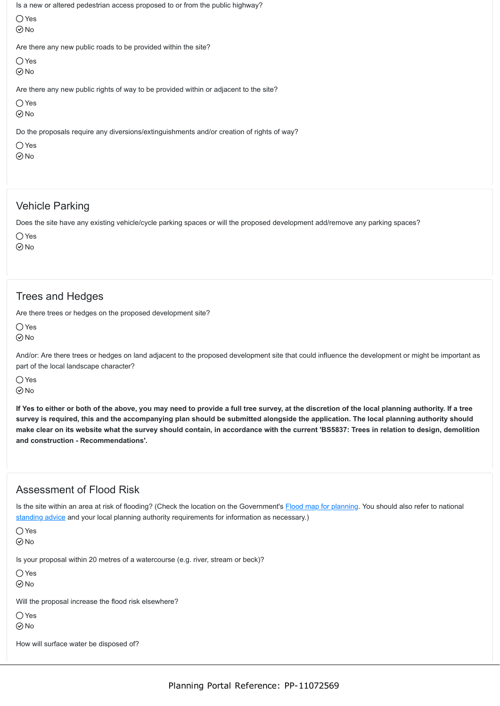Is a new or altered pedestrian access proposed to or from the public highway?

Yes  $\odot$ No

Are there any new public roads to be provided within the site?

○ Yes  $\odot$ No

Are there any new public rights of way to be provided within or adjacent to the site?

 $\bigcirc$  Yes

 $\odot$  No

Do the proposals require any diversions/extinguishments and/or creation of rights of way?

 $\bigcap$  Yes  $\odot$ No

# Vehicle Parking

Does the site have any existing vehicle/cycle parking spaces or will the proposed development add/remove any parking spaces?

 $\bigcap$  Yes

 $\odot$  No

# Trees and Hedges

Are there trees or hedges on the proposed development site?

 $\bigcirc$  Yes  $\odot$ No

And/or: Are there trees or hedges on land adjacent to the proposed development site that could influence the development or might be important as part of the local landscape character?

 $\bigcap$  Yes  $\odot$ No

**If Yes to either or both of the above, you may need to provide a full tree survey, at the discretion of the local planning authority. If a tree survey is required, this and the accompanying plan should be submitted alongside the application. The local planning authority should make clear on its website what the survey should contain, in accordance with the current 'BS5837: Trees in relation to design, demolition and construction - Recommendations'.**

# Assessment of Flood Risk

Is the site within an area at risk of flooding? (Check the location on the Government's [Flood map for planning.](https://flood-map-for-planning.service.gov.uk/) You should also refer to national [standing advice](https://www.gov.uk/guidance/flood-risk-assessment-standing-advice) and your local planning authority requirements for information as necessary.)

Yes

 $\odot$  No

Is your proposal within 20 metres of a watercourse (e.g. river, stream or beck)?

 $\bigcirc$  Yes

 $\odot$ No

Will the proposal increase the flood risk elsewhere?

○Yes

 $\odot$ No

How will surface water be disposed of?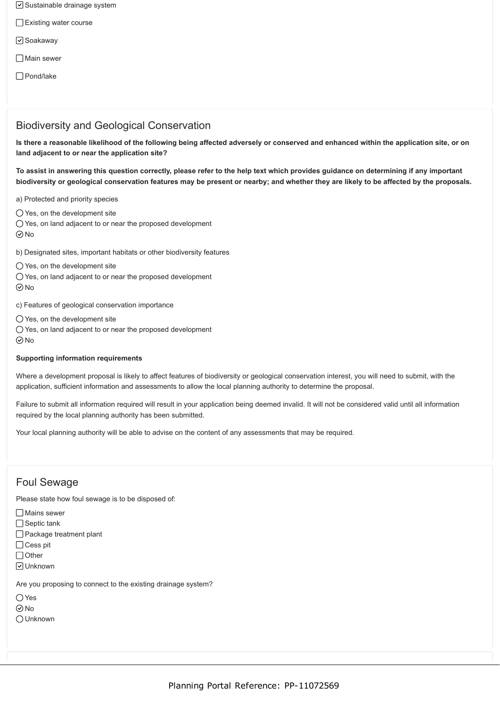- $\triangledown$  Sustainable drainage system
- Existing water course
- □ Soakaway
- □ Main sewer
- Pond/lake

### Biodiversity and Geological Conservation

**Is there a reasonable likelihood of the following being affected adversely or conserved and enhanced within the application site, or on land adjacent to or near the application site?**

**To assist in answering this question correctly, please refer to the help text which provides guidance on determining if any important biodiversity or geological conservation features may be present or nearby; and whether they are likely to be affected by the proposals.**

a) Protected and priority species

 $\bigcirc$  Yes, on the development site

Yes, on land adjacent to or near the proposed development  $\odot$ No

- b) Designated sites, important habitats or other biodiversity features
- Yes, on the development site
- Yes, on land adjacent to or near the proposed development  $\odot$ No

c) Features of geological conservation importance

- $\bigcap$  Yes, on the development site
- Yes, on land adjacent to or near the proposed development  $\odot$ No

#### **Supporting information requirements**

Where a development proposal is likely to affect features of biodiversity or geological conservation interest, you will need to submit, with the application, sufficient information and assessments to allow the local planning authority to determine the proposal.

Failure to submit all information required will result in your application being deemed invalid. It will not be considered valid until all information required by the local planning authority has been submitted.

Your local planning authority will be able to advise on the content of any assessments that may be required.

### Foul Sewage

Please state how foul sewage is to be disposed of:

Mains sewer

- $\Box$  Septic tank
- □ Package treatment plant
- □ Cess pit
- $\Box$  Other
- Unknown

Are you proposing to connect to the existing drainage system?

- Yes
- $\odot$ No
- Unknown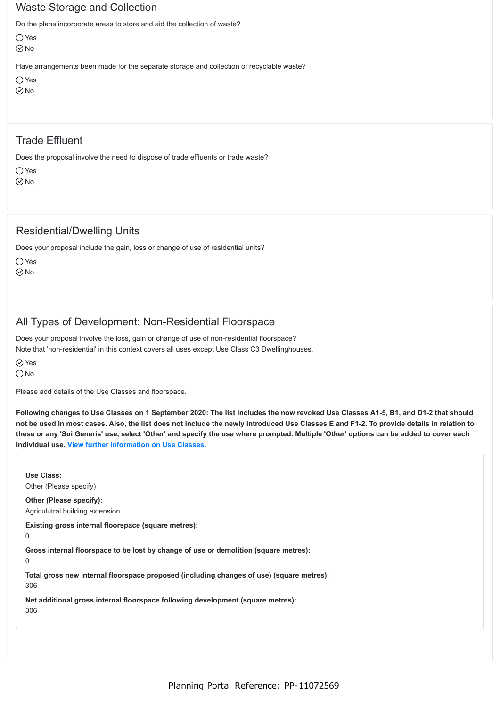### Waste Storage and Collection

Do the plans incorporate areas to store and aid the collection of waste?

Yes No

Have arrangements been made for the separate storage and collection of recyclable waste?

```
Yes
\odotNo
```
## Trade Effluent

Does the proposal involve the need to dispose of trade effluents or trade waste?

Yes  $\odot$ No

## Residential/Dwelling Units

Does your proposal include the gain, loss or change of use of residential units?

 $\bigcirc$  Yes No

## All Types of Development: Non-Residential Floorspace

Does your proposal involve the loss, gain or change of use of non-residential floorspace? Note that 'non-residential' in this context covers all uses except Use Class C3 Dwellinghouses.

⊙ Yes

 $\bigcirc$  No

Please add details of the Use Classes and floorspace.

**Following changes to Use Classes on 1 September 2020: The list includes the now revoked Use Classes A1-5, B1, and D1-2 that should not be used in most cases. Also, the list does not include the newly introduced Use Classes E and F1-2. To provide details in relation to these or any 'Sui Generis' use, select 'Other' and specify the use where prompted. Multiple 'Other' options can be added to cover each individual use. [View further information on Use Classes.](https://www.planningportal.co.uk/info/200130/common_projects/9/change_of_use)**

**Use Class:** Other (Please specify) **Other (Please specify):** Agriculutral building extension **Existing gross internal floorspace (square metres):** 0 **Gross internal floorspace to be lost by change of use or demolition (square metres):**  $\Omega$ **Total gross new internal floorspace proposed (including changes of use) (square metres):** 306 **Net additional gross internal floorspace following development (square metres):** 306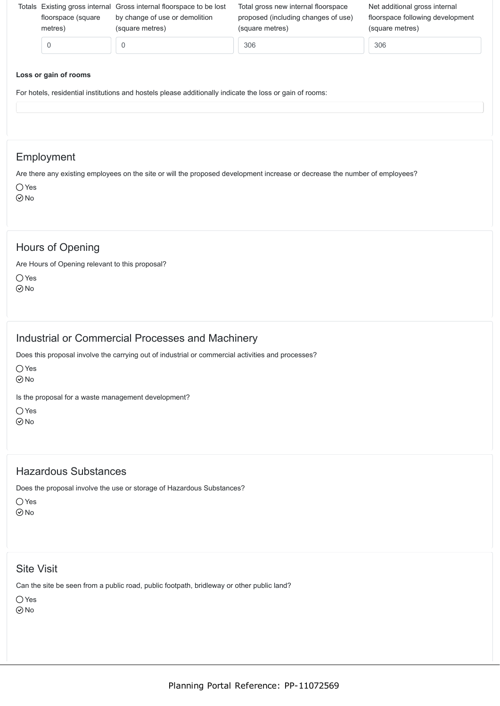| floorspace (square<br>metres) | Totals Existing gross internal Gross internal floorspace to be lost<br>by change of use or demolition<br>(square metres) | Total gross new internal floorspace<br>proposed (including changes of use)<br>(square metres) | Net additional gross internal<br>floorspace following development<br>(square metres) |
|-------------------------------|--------------------------------------------------------------------------------------------------------------------------|-----------------------------------------------------------------------------------------------|--------------------------------------------------------------------------------------|
|                               |                                                                                                                          | 306                                                                                           | 306                                                                                  |
|                               |                                                                                                                          |                                                                                               |                                                                                      |

#### **Loss or gain of rooms**

For hotels, residential institutions and hostels please additionally indicate the loss or gain of rooms:

### Employment

Are there any existing employees on the site or will the proposed development increase or decrease the number of employees? O Yes

 $\odot$ No

### Hours of Opening

Are Hours of Opening relevant to this proposal?

 $\bigcirc$  Yes No

### Industrial or Commercial Processes and Machinery

Does this proposal involve the carrying out of industrial or commercial activities and processes?

○ Yes

 $\odot$ No

Is the proposal for a waste management development?

○ Yes

 $\odot$ No

### Hazardous Substances

Does the proposal involve the use or storage of Hazardous Substances?

 $\bigcap$  Yes

 $\odot$ No

### Site Visit

Can the site be seen from a public road, public footpath, bridleway or other public land?

Yes No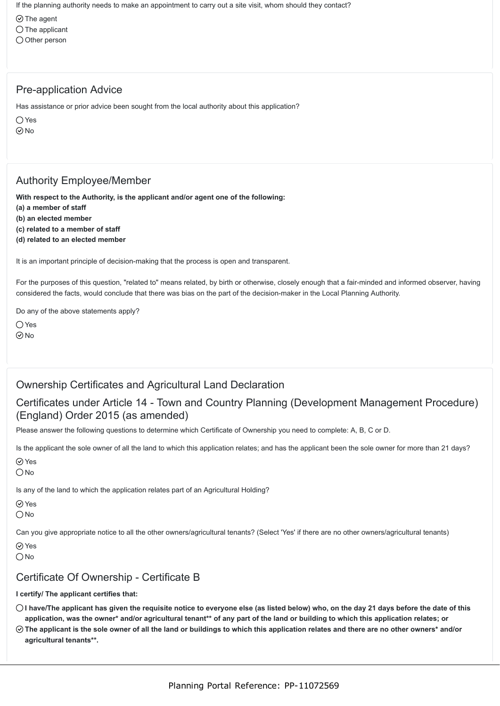If the planning authority needs to make an appointment to carry out a site visit, whom should they contact?

- $\odot$  The agent
- $\bigcirc$  The applicant
- $\bigcirc$  Other person

## Pre-application Advice

Has assistance or prior advice been sought from the local authority about this application?

○ Yes

 $\odot$ No

# Authority Employee/Member

**With respect to the Authority, is the applicant and/or agent one of the following:**

- **(a) a member of staff**
- **(b) an elected member**
- **(c) related to a member of staff**
- **(d) related to an elected member**

It is an important principle of decision-making that the process is open and transparent.

For the purposes of this question, "related to" means related, by birth or otherwise, closely enough that a fair-minded and informed observer, having considered the facts, would conclude that there was bias on the part of the decision-maker in the Local Planning Authority.

Do any of the above statements apply?

 $\bigcap$  Yes

 $\odot$  No

## Ownership Certificates and Agricultural Land Declaration

## Certificates under Article 14 - Town and Country Planning (Development Management Procedure) (England) Order 2015 (as amended)

Please answer the following questions to determine which Certificate of Ownership you need to complete: A, B, C or D.

Is the applicant the sole owner of all the land to which this application relates; and has the applicant been the sole owner for more than 21 days?

Yes  $\bigcirc$  No

Is any of the land to which the application relates part of an Agricultural Holding?

Yes

 $\bigcirc$  No

Can you give appropriate notice to all the other owners/agricultural tenants? (Select 'Yes' if there are no other owners/agricultural tenants)

⊙ Yes

 $\bigcap$ No

## Certificate Of Ownership - Certificate B

#### **I certify/ The applicant certifies that:**

- **I have/The applicant has given the requisite notice to everyone else (as listed below) who, on the day 21 days before the date of this application, was the owner\* and/or agricultural tenant\*\* of any part of the land or building to which this application relates; or**
- **The applicant is the sole owner of all the land or buildings to which this application relates and there are no other owners\* and/or agricultural tenants\*\*.**